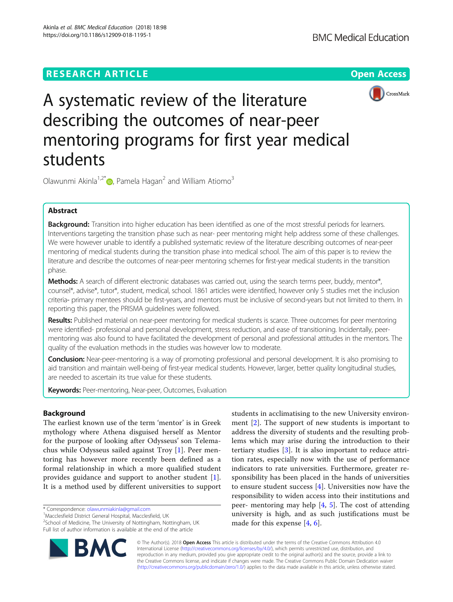# **RESEARCH ARTICLE Example 2018 12:30 THE Open Access**



# A systematic review of the literature describing the outcomes of near-peer mentoring programs for first year medical students

Olawunmi Akinla<sup>1[,](http://orcid.org/0000-0001-6411-219X)2\*</sup> $\bullet$ , Pamela Hagan<sup>2</sup> and William Atiomo<sup>3</sup>

# Abstract

Background: Transition into higher education has been identified as one of the most stressful periods for learners. Interventions targeting the transition phase such as near- peer mentoring might help address some of these challenges. We were however unable to identify a published systematic review of the literature describing outcomes of near-peer mentoring of medical students during the transition phase into medical school. The aim of this paper is to review the literature and describe the outcomes of near-peer mentoring schemes for first-year medical students in the transition phase.

Methods: A search of different electronic databases was carried out, using the search terms peer, buddy, mentor\*, counsel\*, advise\*, tutor\*, student, medical, school. 1861 articles were identified, however only 5 studies met the inclusion criteria- primary mentees should be first-years, and mentors must be inclusive of second-years but not limited to them. In reporting this paper, the PRISMA guidelines were followed.

Results: Published material on near-peer mentoring for medical students is scarce. Three outcomes for peer mentoring were identified- professional and personal development, stress reduction, and ease of transitioning. Incidentally, peermentoring was also found to have facilitated the development of personal and professional attitudes in the mentors. The quality of the evaluation methods in the studies was however low to moderate.

**Conclusion:** Near-peer-mentoring is a way of promoting professional and personal development. It is also promising to aid transition and maintain well-being of first-year medical students. However, larger, better quality longitudinal studies, are needed to ascertain its true value for these students.

Keywords: Peer-mentoring, Near-peer, Outcomes, Evaluation

# **Background**

The earliest known use of the term 'mentor' is in Greek mythology where Athena disguised herself as Mentor for the purpose of looking after Odysseus' son Telemachus while Odysseus sailed against Troy [[1](#page-8-0)]. Peer mentoring has however more recently been defined as a formal relationship in which a more qualified student provides guidance and support to another student [[1](#page-8-0)]. It is a method used by different universities to support

\* Correspondence: [olawunmiakinla@gmail.com](mailto:olawunmiakinla@gmail.com) <sup>1</sup>

<sup>1</sup>Macclesfield District General Hospital, Macclesfield, UK

<sup>2</sup>School of Medicine, The University of Nottingham, Nottingham, UK Full list of author information is available at the end of the article



students in acclimatising to the new University environment [\[2](#page-8-0)]. The support of new students is important to address the diversity of students and the resulting problems which may arise during the introduction to their tertiary studies [\[3](#page-8-0)]. It is also important to reduce attrition rates, especially now with the use of performance indicators to rate universities. Furthermore, greater responsibility has been placed in the hands of universities to ensure student success [[4\]](#page-8-0). Universities now have the responsibility to widen access into their institutions and peer- mentoring may help  $[4, 5]$  $[4, 5]$  $[4, 5]$  $[4, 5]$ . The cost of attending university is high, and as such justifications must be made for this expense [\[4](#page-8-0), [6\]](#page-8-0).

© The Author(s). 2018 Open Access This article is distributed under the terms of the Creative Commons Attribution 4.0 International License [\(http://creativecommons.org/licenses/by/4.0/](http://creativecommons.org/licenses/by/4.0/)), which permits unrestricted use, distribution, and reproduction in any medium, provided you give appropriate credit to the original author(s) and the source, provide a link to the Creative Commons license, and indicate if changes were made. The Creative Commons Public Domain Dedication waiver [\(http://creativecommons.org/publicdomain/zero/1.0/](http://creativecommons.org/publicdomain/zero/1.0/)) applies to the data made available in this article, unless otherwise stated.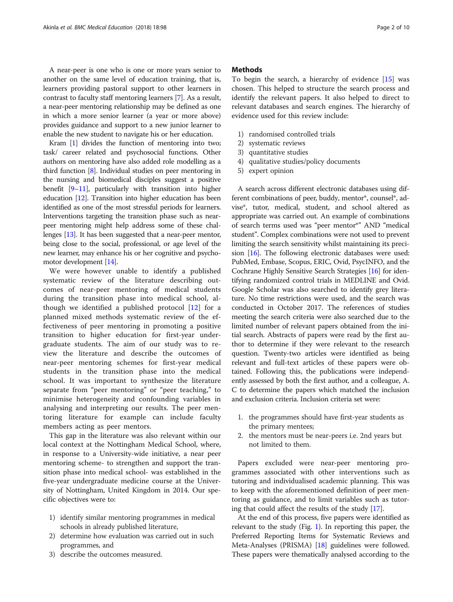A near-peer is one who is one or more years senior to another on the same level of education training, that is, learners providing pastoral support to other learners in contrast to faculty staff mentoring learners [\[7\]](#page-8-0). As a result, a near-peer mentoring relationship may be defined as one in which a more senior learner (a year or more above) provides guidance and support to a new junior learner to enable the new student to navigate his or her education.

Kram [[1](#page-8-0)] divides the function of mentoring into two; task/ career related and psychosocial functions. Other authors on mentoring have also added role modelling as a third function [\[8](#page-8-0)]. Individual studies on peer mentoring in the nursing and biomedical disciples suggest a positive benefit [\[9](#page-8-0)–[11](#page-8-0)], particularly with transition into higher education [\[12\]](#page-8-0). Transition into higher education has been identified as one of the most stressful periods for learners. Interventions targeting the transition phase such as nearpeer mentoring might help address some of these challenges [\[13\]](#page-8-0). It has been suggested that a near-peer mentor, being close to the social, professional, or age level of the new learner, may enhance his or her cognitive and psychomotor development [[14](#page-8-0)].

We were however unable to identify a published systematic review of the literature describing outcomes of near-peer mentoring of medical students during the transition phase into medical school, although we identified a published protocol [[12\]](#page-8-0) for a planned mixed methods systematic review of the effectiveness of peer mentoring in promoting a positive transition to higher education for first-year undergraduate students. The aim of our study was to review the literature and describe the outcomes of near-peer mentoring schemes for first-year medical students in the transition phase into the medical school. It was important to synthesize the literature separate from "peer mentoring" or "peer teaching," to minimise heterogeneity and confounding variables in analysing and interpreting our results. The peer mentoring literature for example can include faculty members acting as peer mentors.

This gap in the literature was also relevant within our local context at the Nottingham Medical School, where, in response to a University-wide initiative, a near peer mentoring scheme- to strengthen and support the transition phase into medical school- was established in the five-year undergraduate medicine course at the University of Nottingham, United Kingdom in 2014. Our specific objectives were to:

- 1) identify similar mentoring programmes in medical schools in already published literature,
- 2) determine how evaluation was carried out in such programmes, and
- 3) describe the outcomes measured.

# **Methods**

To begin the search, a hierarchy of evidence [[15\]](#page-8-0) was chosen. This helped to structure the search process and identify the relevant papers. It also helped to direct to relevant databases and search engines. The hierarchy of evidence used for this review include:

- 1) randomised controlled trials
- 2) systematic reviews
- 3) quantitative studies
- 4) qualitative studies/policy documents
- 5) expert opinion

A search across different electronic databases using different combinations of peer, buddy, mentor\*, counsel\*, advise\*, tutor, medical, student, and school altered as appropriate was carried out. An example of combinations of search terms used was "peer mentor\*" AND "medical student". Complex combinations were not used to prevent limiting the search sensitivity whilst maintaining its precision [[16](#page-8-0)]. The following electronic databases were used: PubMed, Embase, Scopus, ERIC, Ovid, PsycINFO, and the Cochrane Highly Sensitive Search Strategies [[16](#page-8-0)] for identifying randomized control trials in MEDLINE and Ovid. Google Scholar was also searched to identify grey literature. No time restrictions were used, and the search was conducted in October 2017. The references of studies meeting the search criteria were also searched due to the limited number of relevant papers obtained from the initial search. Abstracts of papers were read by the first author to determine if they were relevant to the research question. Twenty-two articles were identified as being relevant and full-text articles of these papers were obtained. Following this, the publications were independently assessed by both the first author, and a colleague, A. C to determine the papers which matched the inclusion and exclusion criteria. Inclusion criteria set were:

- 1. the programmes should have first-year students as the primary mentees;
- 2. the mentors must be near-peers i.e. 2nd years but not limited to them.

Papers excluded were near-peer mentoring programmes associated with other interventions such as tutoring and individualised academic planning. This was to keep with the aforementioned definition of peer mentoring as guidance, and to limit variables such as tutoring that could affect the results of the study [\[17](#page-8-0)].

At the end of this process, five papers were identified as relevant to the study (Fig. [1\)](#page-2-0). In reporting this paper, the Preferred Reporting Items for Systematic Reviews and Meta-Analyses (PRISMA) [[18](#page-8-0)] guidelines were followed. These papers were thematically analysed according to the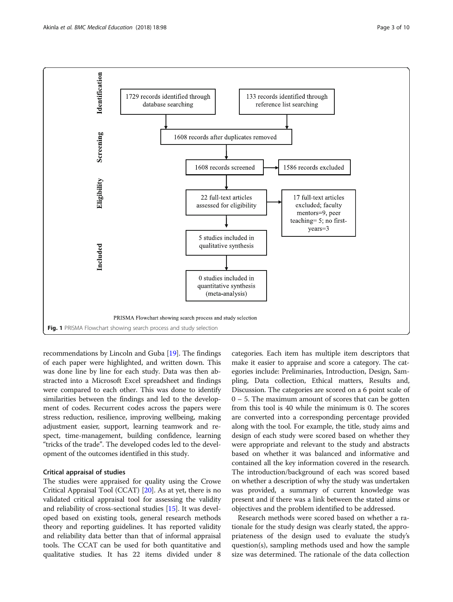<span id="page-2-0"></span>

recommendations by Lincoln and Guba [\[19\]](#page-8-0). The findings of each paper were highlighted, and written down. This was done line by line for each study. Data was then abstracted into a Microsoft Excel spreadsheet and findings were compared to each other. This was done to identify similarities between the findings and led to the development of codes. Recurrent codes across the papers were stress reduction, resilience, improving wellbeing, making adjustment easier, support, learning teamwork and respect, time-management, building confidence, learning "tricks of the trade". The developed codes led to the development of the outcomes identified in this study.

## Critical appraisal of studies

The studies were appraised for quality using the Crowe Critical Appraisal Tool (CCAT) [[20](#page-8-0)]. As at yet, there is no validated critical appraisal tool for assessing the validity and reliability of cross-sectional studies [\[15\]](#page-8-0). It was developed based on existing tools, general research methods theory and reporting guidelines. It has reported validity and reliability data better than that of informal appraisal tools. The CCAT can be used for both quantitative and qualitative studies. It has 22 items divided under 8 categories. Each item has multiple item descriptors that make it easier to appraise and score a category. The categories include: Preliminaries, Introduction, Design, Sampling, Data collection, Ethical matters, Results and, Discussion. The categories are scored on a 6 point scale of  $0 - 5$ . The maximum amount of scores that can be gotten from this tool is 40 while the minimum is 0. The scores are converted into a corresponding percentage provided along with the tool. For example, the title, study aims and design of each study were scored based on whether they were appropriate and relevant to the study and abstracts based on whether it was balanced and informative and contained all the key information covered in the research. The introduction/background of each was scored based on whether a description of why the study was undertaken was provided, a summary of current knowledge was present and if there was a link between the stated aims or objectives and the problem identified to be addressed.

Research methods were scored based on whether a rationale for the study design was clearly stated, the appropriateness of the design used to evaluate the study's question(s), sampling methods used and how the sample size was determined. The rationale of the data collection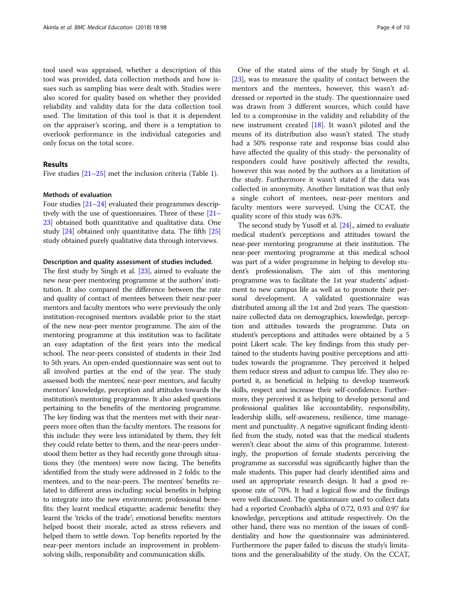tool used was appraised, whether a description of this tool was provided, data collection methods and how issues such as sampling bias were dealt with. Studies were also scored for quality based on whether they provided reliability and validity data for the data collection tool used. The limitation of this tool is that it is dependent on the appraiser's scoring, and there is a temptation to overlook performance in the individual categories and only focus on the total score.

### Results

Five studies [[21](#page-8-0)–[25](#page-8-0)] met the inclusion criteria (Table [1\)](#page-4-0).

#### Methods of evaluation

Four studies [\[21](#page-8-0)–[24](#page-8-0)] evaluated their programmes descriptively with the use of questionnaires. Three of these [\[21](#page-8-0)– [23](#page-8-0)] obtained both quantitative and qualitative data. One study [\[24\]](#page-8-0) obtained only quantitative data. The fifth [[25](#page-8-0)] study obtained purely qualitative data through interviews.

#### Description and quality assessment of studies included.

The first study by Singh et al. [[23](#page-8-0)], aimed to evaluate the new near-peer mentoring programme at the authors' institution. It also compared the difference between the rate and quality of contact of mentees between their near-peer mentors and faculty mentors who were previously the only institution-recognised mentors available prior to the start of the new near-peer mentor programme. The aim of the mentoring programme at this institution was to facilitate an easy adaptation of the first years into the medical school. The near-peers consisted of students in their 2nd to 5th years. An open-ended questionnaire was sent out to all involved parties at the end of the year. The study assessed both the mentees', near-peer mentors, and faculty mentors' knowledge, perception and attitudes towards the institution's mentoring programme. It also asked questions pertaining to the benefits of the mentoring programme. The key finding was that the mentees met with their nearpeers more often than the faculty mentors. The reasons for this include: they were less intimidated by them, they felt they could relate better to them, and the near-peers understood them better as they had recently gone through situations they (the mentees) were now facing. The benefits identified from the study were addressed in 2 folds: to the mentees, and to the near-peers. The mentees' benefits related to different areas including: social benefits in helping to integrate into the new environment; professional benefits: they learnt medical etiquette; academic benefits: they learnt the 'tricks of the trade'; emotional benefits: mentors helped boost their morale, acted as stress relievers and helped them to settle down. Top benefits reported by the near-peer mentors include an improvement in problemsolving skills, responsibility and communication skills.

One of the stated aims of the study by Singh et al. [[23\]](#page-8-0), was to measure the quality of contact between the mentors and the mentees, however, this wasn't addressed or reported in the study. The questionnaire used was drawn from 3 different sources, which could have led to a compromise in the validity and reliability of the new instrument created [[18\]](#page-8-0). It wasn't piloted and the means of its distribution also wasn't stated. The study had a 50% response rate and response bias could also have affected the quality of this study- the personality of responders could have positively affected the results, however this was noted by the authors as a limitation of the study. Furthermore it wasn't stated if the data was collected in anonymity. Another limitation was that only a single cohort of mentees, near-peer mentors and faculty mentors were surveyed. Using the CCAT, the quality score of this study was 63%.

The second study by Yusoff et al. [[24](#page-8-0)]., aimed to evaluate medical student's perceptions and attitudes toward the near-peer mentoring programme at their institution. The near-peer mentoring programme at this medical school was part of a wider programme in helping to develop student's professionalism. The aim of this mentoring programme was to facilitate the 1st year students' adjustment to new campus life as well as to promote their personal development. A validated questionnaire was distributed among all the 1st and 2nd years. The questionnaire collected data on demographics, knowledge, perception and attitudes towards the programme. Data on student's perceptions and attitudes were obtained by a 5 point Likert scale. The key findings from this study pertained to the students having positive perceptions and attitudes towards the programme. They perceived it helped them reduce stress and adjust to campus life. They also reported it, as beneficial in helping to develop teamwork skills, respect and increase their self-confidence. Furthermore, they perceived it as helping to develop personal and professional qualities like accountability, responsibility, leadership skills, self-awareness, resilience, time management and punctuality. A negative significant finding identified from the study, noted was that the medical students weren't clear about the aims of this programme. Interestingly, the proportion of female students perceiving the programme as successful was significantly higher than the male students. This paper had clearly identified aims and used an appropriate research design. It had a good response rate of 70%. It had a logical flow and the findings were well discussed. The questionnaire used to collect data had a reported Cronbach's alpha of 0.72, 0.93 and 0.97 for knowledge, perceptions and attitude respectively. On the other hand, there was no mention of the issues of confidentiality and how the questionnaire was administered. Furthermore the paper failed to discuss the study's limitations and the generalisability of the study. On the CCAT,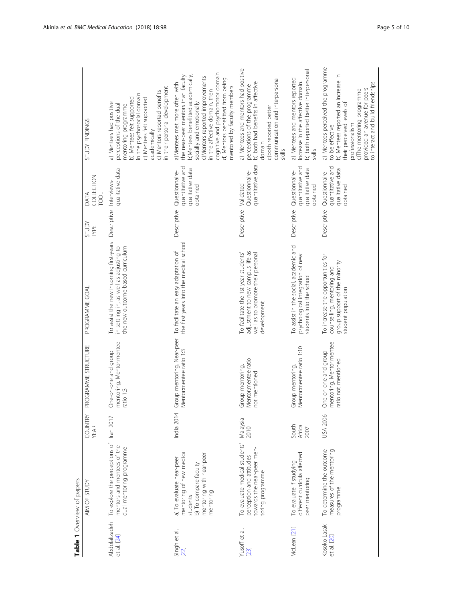<span id="page-4-0"></span>

| STUDY FINDINGS             | in their personal development<br>c) Mentors reported benefits<br>in the psychosocial domain<br>b) Mentees felt supported<br>c) Mentees felt supported<br>a) Mentees had positive<br>perceptions of the dual<br>mentoring programme<br>academically | cognitive and psychomotor domain<br>b)Mentees benefitted academically,<br>the near-peer mentors than faculty<br>c)Mentors reported improvements<br>d) Mentors benefitted from being<br>a)Mentees met more often with<br>mentored by faculty members<br>in the affective domain, then<br>socially and emotionally | a) Mentees and mentors had positive<br>communication and interpersonal<br>b) both had benefits in affective<br>perceptions of the programme<br>c)both reported better<br>domain<br>skills | b) both reported better interpersonal<br>a) Mentees and mentors reported<br>increase in the affective domain.<br>skills | a) Mentees perceived the programme<br>b) Mentees reported an increase in<br>to interact and build friendships<br>provided an avenue for peers<br>c) The mentoring programme<br>their perceived levels of<br>professionalism<br>to be effective |
|----------------------------|----------------------------------------------------------------------------------------------------------------------------------------------------------------------------------------------------------------------------------------------------|------------------------------------------------------------------------------------------------------------------------------------------------------------------------------------------------------------------------------------------------------------------------------------------------------------------|-------------------------------------------------------------------------------------------------------------------------------------------------------------------------------------------|-------------------------------------------------------------------------------------------------------------------------|------------------------------------------------------------------------------------------------------------------------------------------------------------------------------------------------------------------------------------------------|
| COLLECTION<br>DATA<br>TOOL | qualitative data<br>Interviews-                                                                                                                                                                                                                    | quantitative and<br>qualitative data<br>Questionnaire-<br>obtained                                                                                                                                                                                                                                               | quantitative data<br>Questionnaire-<br>Validated                                                                                                                                          | quantitative and<br>qualitative data<br>Questionnaire-<br>obtained                                                      | quantitative and<br>qualitative data<br>Questionnaire<br>obtained                                                                                                                                                                              |
| NONIS<br>TYPE              | Descriptive                                                                                                                                                                                                                                        | Descriptive                                                                                                                                                                                                                                                                                                      | Descriptive                                                                                                                                                                               | Descriptive                                                                                                             | Descriptive                                                                                                                                                                                                                                    |
| PROGRAMME GOAL             | To assist the new incoming first-years<br>in settling in, as well as adjusting to<br>the new outcome-based curriculum                                                                                                                              | the first years into the medical school<br>To facilitate an easy adaptation of                                                                                                                                                                                                                                   | adjustment to new campus life as<br>To facilitate the 1st-year students'<br>well as to promote their personal<br>development                                                              | To assist in the social, academic and<br>psychological integration of new<br>students into the school                   | To increase the opportunities for<br>group support of the minority<br>counselling, mentoring and<br>student population                                                                                                                         |
| PROGRAMME STRUCTURE        | mentoring. Mentor:mentee<br>One-on-one and group<br>ratio 1:3                                                                                                                                                                                      | Group mentoring. Near-peer<br>Mentor:mentee ratio 1:3                                                                                                                                                                                                                                                            | Mentor:mentee ratio<br>Group mentoring.<br>not mentioned                                                                                                                                  | Mentor:mentee ratio 1:10<br>Group mentoring.                                                                            | mentoring. Mentor:mentee<br>One-on-one and group<br>ratio not mentioned                                                                                                                                                                        |
| COUNTRY<br>YEAR            |                                                                                                                                                                                                                                                    | India 2014                                                                                                                                                                                                                                                                                                       | Malaysia<br>2010                                                                                                                                                                          | South<br>Africa<br>2007                                                                                                 | USA 2006                                                                                                                                                                                                                                       |
| AIM OF STUDY               | To explore the perceptions of Iran 2017<br>mentors and mentees of the<br>dual mentoring programme                                                                                                                                                  | mentoring of new medical<br>mentoring with near-peer<br>mentoring<br>a) To evaluate near-peer<br>b) To compare faculty<br>students                                                                                                                                                                               | To evaluate medical students'<br>towards the near-peer men-<br>perception and attitudes<br>toring programme                                                                               | different curricula affected<br>To evaluate if studying<br>peer mentoring                                               | To determine the outcome<br>measures of the mentoring<br>programme                                                                                                                                                                             |
|                            | Abdolalizadeh<br>et al. [24]                                                                                                                                                                                                                       | Singh et al.<br>[22]                                                                                                                                                                                                                                                                                             | Yusoff et al.<br>$[23]$                                                                                                                                                                   | McLean [21]                                                                                                             | Kosoko-Lasaki<br>et al. [20]                                                                                                                                                                                                                   |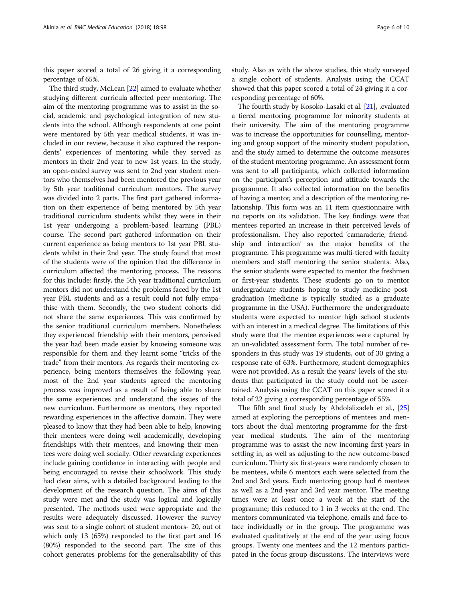this paper scored a total of 26 giving it a corresponding percentage of 65%.

The third study, McLean [[22](#page-8-0)] aimed to evaluate whether studying different curricula affected peer mentoring. The aim of the mentoring programme was to assist in the social, academic and psychological integration of new students into the school. Although respondents at one point were mentored by 5th year medical students, it was included in our review, because it also captured the respondents' experiences of mentoring while they served as mentors in their 2nd year to new 1st years. In the study, an open-ended survey was sent to 2nd year student mentors who themselves had been mentored the previous year by 5th year traditional curriculum mentors. The survey was divided into 2 parts. The first part gathered information on their experience of being mentored by 5th year traditional curriculum students whilst they were in their 1st year undergoing a problem-based learning (PBL) course. The second part gathered information on their current experience as being mentors to 1st year PBL students whilst in their 2nd year. The study found that most of the students were of the opinion that the difference in curriculum affected the mentoring process. The reasons for this include: firstly, the 5th year traditional curriculum mentors did not understand the problems faced by the 1st year PBL students and as a result could not fully empathise with them. Secondly, the two student cohorts did not share the same experiences. This was confirmed by the senior traditional curriculum members. Nonetheless they experienced friendship with their mentors, perceived the year had been made easier by knowing someone was responsible for them and they learnt some "tricks of the trade" from their mentors. As regards their mentoring experience, being mentors themselves the following year, most of the 2nd year students agreed the mentoring process was improved as a result of being able to share the same experiences and understand the issues of the new curriculum. Furthermore as mentors, they reported rewarding experiences in the affective domain. They were pleased to know that they had been able to help, knowing their mentees were doing well academically, developing friendships with their mentees, and knowing their mentees were doing well socially. Other rewarding experiences include gaining confidence in interacting with people and being encouraged to revise their schoolwork. This study had clear aims, with a detailed background leading to the development of the research question. The aims of this study were met and the study was logical and logically presented. The methods used were appropriate and the results were adequately discussed. However the survey was sent to a single cohort of student mentors- 20, out of which only 13 (65%) responded to the first part and 16 (80%) responded to the second part. The size of this cohort generates problems for the generalisability of this study. Also as with the above studies, this study surveyed a single cohort of students. Analysis using the CCAT showed that this paper scored a total of 24 giving it a corresponding percentage of 60%.

The fourth study by Kosoko-Lasaki et al. [[21](#page-8-0)], .evaluated a tiered mentoring programme for minority students at their university. The aim of the mentoring programme was to increase the opportunities for counselling, mentoring and group support of the minority student population, and the study aimed to determine the outcome measures of the student mentoring programme. An assessment form was sent to all participants, which collected information on the participant's perception and attitude towards the programme. It also collected information on the benefits of having a mentor, and a description of the mentoring relationship. This form was an 11 item questionnaire with no reports on its validation. The key findings were that mentees reported an increase in their perceived levels of professionalism. They also reported 'camaraderie, friendship and interaction' as the major benefits of the programme. This programme was multi-tiered with faculty members and staff mentoring the senior students. Also, the senior students were expected to mentor the freshmen or first-year students. These students go on to mentor undergraduate students hoping to study medicine postgraduation (medicine is typically studied as a graduate programme in the USA). Furthermore the undergraduate students were expected to mentor high school students with an interest in a medical degree. The limitations of this study were that the mentee experiences were captured by an un-validated assessment form. The total number of responders in this study was 19 students, out of 30 giving a response rate of 63%. Furthermore, student demographics were not provided. As a result the years/ levels of the students that participated in the study could not be ascertained. Analysis using the CCAT on this paper scored it a total of 22 giving a corresponding percentage of 55%.

The fifth and final study by Abdolalizadeh et al., [[25](#page-8-0)] aimed at exploring the perceptions of mentees and mentors about the dual mentoring programme for the firstyear medical students. The aim of the mentoring programme was to assist the new incoming first-years in settling in, as well as adjusting to the new outcome-based curriculum. Thirty six first-years were randomly chosen to be mentees, while 6 mentors each were selected from the 2nd and 3rd years. Each mentoring group had 6 mentees as well as a 2nd year and 3rd year mentor. The meeting times were at least once a week at the start of the programme; this reduced to 1 in 3 weeks at the end. The mentors communicated via telephone, emails and face-toface individually or in the group. The programme was evaluated qualitatively at the end of the year using focus groups. Twenty one mentees and the 12 mentors participated in the focus group discussions. The interviews were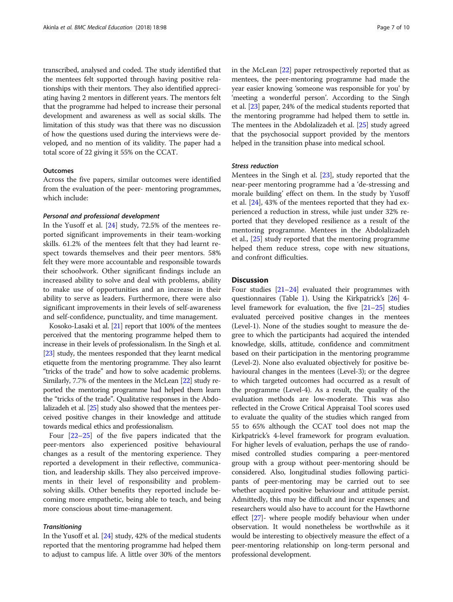transcribed, analysed and coded. The study identified that the mentees felt supported through having positive relationships with their mentors. They also identified appreciating having 2 mentors in different years. The mentors felt that the programme had helped to increase their personal development and awareness as well as social skills. The limitation of this study was that there was no discussion of how the questions used during the interviews were developed, and no mention of its validity. The paper had a total score of 22 giving it 55% on the CCAT.

# **Outcomes**

Across the five papers, similar outcomes were identified from the evaluation of the peer- mentoring programmes, which include:

#### Personal and professional development

In the Yusoff et al. [[24\]](#page-8-0) study, 72.5% of the mentees reported significant improvements in their team-working skills. 61.2% of the mentees felt that they had learnt respect towards themselves and their peer mentors. 58% felt they were more accountable and responsible towards their schoolwork. Other significant findings include an increased ability to solve and deal with problems, ability to make use of opportunities and an increase in their ability to serve as leaders. Furthermore, there were also significant improvements in their levels of self-awareness and self-confidence, punctuality, and time management.

Kosoko-Lasaki et al. [\[21\]](#page-8-0) report that 100% of the mentees perceived that the mentoring programme helped them to increase in their levels of professionalism. In the Singh et al. [[23](#page-8-0)] study, the mentees responded that they learnt medical etiquette from the mentoring programme. They also learnt "tricks of the trade" and how to solve academic problems. Similarly, 7.7% of the mentees in the McLean [\[22\]](#page-8-0) study reported the mentoring programme had helped them learn the "tricks of the trade". Qualitative responses in the Abdolalizadeh et al. [[25\]](#page-8-0) study also showed that the mentees perceived positive changes in their knowledge and attitude towards medical ethics and professionalism.

Four [[22](#page-8-0)–[25](#page-8-0)] of the five papers indicated that the peer-mentors also experienced positive behavioural changes as a result of the mentoring experience. They reported a development in their reflective, communication, and leadership skills. They also perceived improvements in their level of responsibility and problemsolving skills. Other benefits they reported include becoming more empathetic, being able to teach, and being more conscious about time-management.

#### **Transitioning**

In the Yusoff et al. [\[24\]](#page-8-0) study, 42% of the medical students reported that the mentoring programme had helped them to adjust to campus life. A little over 30% of the mentors

in the McLean [[22](#page-8-0)] paper retrospectively reported that as mentees, the peer-mentoring programme had made the year easier knowing 'someone was responsible for you' by 'meeting a wonderful person'. According to the Singh et al. [\[23\]](#page-8-0) paper, 24% of the medical students reported that the mentoring programme had helped them to settle in. The mentees in the Abdolalizadeh et al. [\[25\]](#page-8-0) study agreed that the psychosocial support provided by the mentors helped in the transition phase into medical school.

#### Stress reduction

Mentees in the Singh et al. [[23\]](#page-8-0), study reported that the near-peer mentoring programme had a 'de-stressing and morale building' effect on them. In the study by Yusoff et al. [\[24](#page-8-0)], 43% of the mentees reported that they had experienced a reduction in stress, while just under 32% reported that they developed resilience as a result of the mentoring programme. Mentees in the Abdolalizadeh et al., [\[25](#page-8-0)] study reported that the mentoring programme helped them reduce stress, cope with new situations, and confront difficulties.

# **Discussion**

Four studies [[21](#page-8-0)–[24\]](#page-8-0) evaluated their programmes with questionnaires (Table [1](#page-4-0)). Using the Kirkpatrick's [\[26\]](#page-8-0) 4 level framework for evaluation, the five [\[21](#page-8-0)–[25](#page-8-0)] studies evaluated perceived positive changes in the mentees (Level-1). None of the studies sought to measure the degree to which the participants had acquired the intended knowledge, skills, attitude, confidence and commitment based on their participation in the mentoring programme (Level-2). None also evaluated objectively for positive behavioural changes in the mentees (Level-3); or the degree to which targeted outcomes had occurred as a result of the programme (Level-4). As a result, the quality of the evaluation methods are low-moderate. This was also reflected in the Crowe Critical Appraisal Tool scores used to evaluate the quality of the studies which ranged from 55 to 65% although the CCAT tool does not map the Kirkpatrick's 4-level framework for program evaluation. For higher levels of evaluation, perhaps the use of randomised controlled studies comparing a peer-mentored group with a group without peer-mentoring should be considered. Also, longitudinal studies following participants of peer-mentoring may be carried out to see whether acquired positive behaviour and attitude persist. Admittedly, this may be difficult and incur expenses; and researchers would also have to account for the Hawthorne effect [[27](#page-8-0)]- where people modify behaviour when under observation. It would nonetheless be worthwhile as it would be interesting to objectively measure the effect of a peer-mentoring relationship on long-term personal and professional development.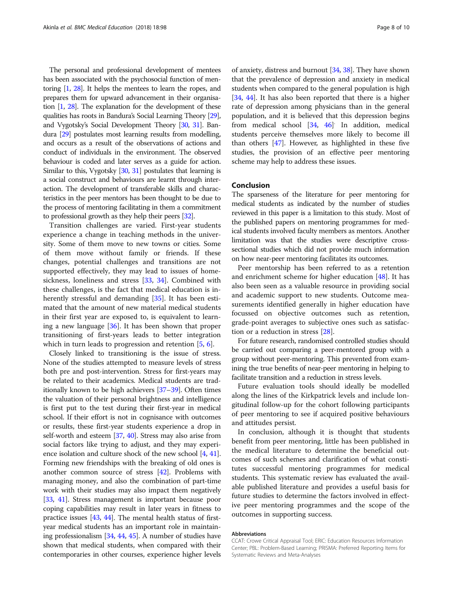The personal and professional development of mentees has been associated with the psychosocial function of mentoring [[1](#page-8-0), [28](#page-8-0)]. It helps the mentees to learn the ropes, and prepares them for upward advancement in their organisation [[1](#page-8-0), [28](#page-8-0)]. The explanation for the development of these qualities has roots in Bandura's Social Learning Theory [\[29](#page-8-0)], and Vygotsky's Social Development Theory [\[30](#page-8-0), [31\]](#page-8-0). Bandura [\[29](#page-8-0)] postulates most learning results from modelling, and occurs as a result of the observations of actions and conduct of individuals in the environment. The observed behaviour is coded and later serves as a guide for action. Similar to this, Vygotsky [\[30,](#page-8-0) [31](#page-8-0)] postulates that learning is a social construct and behaviours are learnt through interaction. The development of transferable skills and characteristics in the peer mentors has been thought to be due to the process of mentoring facilitating in them a commitment to professional growth as they help their peers [\[32](#page-8-0)].

Transition challenges are varied. First-year students experience a change in teaching methods in the university. Some of them move to new towns or cities. Some of them move without family or friends. If these changes, potential challenges and transitions are not supported effectively, they may lead to issues of homesickness, loneliness and stress [\[33,](#page-8-0) [34](#page-8-0)]. Combined with these challenges, is the fact that medical education is in-herently stressful and demanding [[35\]](#page-9-0). It has been estimated that the amount of new material medical students in their first year are exposed to, is equivalent to learning a new language  $[36]$ . It has been shown that proper transitioning of first-years leads to better integration which in turn leads to progression and retention [[5,](#page-8-0) [6\]](#page-8-0).

Closely linked to transitioning is the issue of stress. None of the studies attempted to measure levels of stress both pre and post-intervention. Stress for first-years may be related to their academics. Medical students are traditionally known to be high achievers [\[37](#page-9-0)–[39](#page-9-0)]. Often times the valuation of their personal brightness and intelligence is first put to the test during their first-year in medical school. If their effort is not in cognisance with outcomes or results, these first-year students experience a drop in self-worth and esteem [\[37,](#page-9-0) [40](#page-9-0)]. Stress may also arise from social factors like trying to adjust, and they may experience isolation and culture shock of the new school [\[4,](#page-8-0) [41](#page-9-0)]. Forming new friendships with the breaking of old ones is another common source of stress [[42](#page-9-0)]. Problems with managing money, and also the combination of part-time work with their studies may also impact them negatively [[33](#page-8-0), [41\]](#page-9-0). Stress management is important because poor coping capabilities may result in later years in fitness to practice issues [\[43](#page-9-0), [44](#page-9-0)]. The mental health status of firstyear medical students has an important role in maintaining professionalism [\[34,](#page-8-0) [44](#page-9-0), [45\]](#page-9-0). A number of studies have shown that medical students, when compared with their contemporaries in other courses, experience higher levels

of anxiety, distress and burnout [[34](#page-8-0), [38\]](#page-9-0). They have shown that the prevalence of depression and anxiety in medical students when compared to the general population is high [[34](#page-8-0), [44](#page-9-0)]. It has also been reported that there is a higher rate of depression among physicians than in the general population, and it is believed that this depression begins from medical school [\[34,](#page-8-0) [46](#page-9-0)] . In addition, medical students perceive themselves more likely to become ill than others [[47](#page-9-0)]. However, as highlighted in these five studies, the provision of an effective peer mentoring scheme may help to address these issues.

# Conclusion

The sparseness of the literature for peer mentoring for medical students as indicated by the number of studies reviewed in this paper is a limitation to this study. Most of the published papers on mentoring programmes for medical students involved faculty members as mentors. Another limitation was that the studies were descriptive crosssectional studies which did not provide much information on how near-peer mentoring facilitates its outcomes.

Peer mentorship has been referred to as a retention and enrichment scheme for higher education [\[48\]](#page-9-0). It has also been seen as a valuable resource in providing social and academic support to new students. Outcome measurements identified generally in higher education have focussed on objective outcomes such as retention, grade-point averages to subjective ones such as satisfaction or a reduction in stress [[28\]](#page-8-0).

For future research, randomised controlled studies should be carried out comparing a peer-mentored group with a group without peer-mentoring. This prevented from examining the true benefits of near-peer mentoring in helping to facilitate transition and a reduction in stress levels.

Future evaluation tools should ideally be modelled along the lines of the Kirkpatrick levels and include longitudinal follow-up for the cohort following participants of peer mentoring to see if acquired positive behaviours and attitudes persist.

In conclusion, although it is thought that students benefit from peer mentoring, little has been published in the medical literature to determine the beneficial outcomes of such schemes and clarification of what constitutes successful mentoring programmes for medical students. This systematic review has evaluated the available published literature and provides a useful basis for future studies to determine the factors involved in effective peer mentoring programmes and the scope of the outcomes in supporting success.

#### Abbreviations

CCAT: Crowe Critical Appraisal Tool; ERIC: Education Resources Information Center; PBL: Problem-Based Learning; PRISMA: Preferred Reporting Items for Systematic Reviews and Meta-Analyses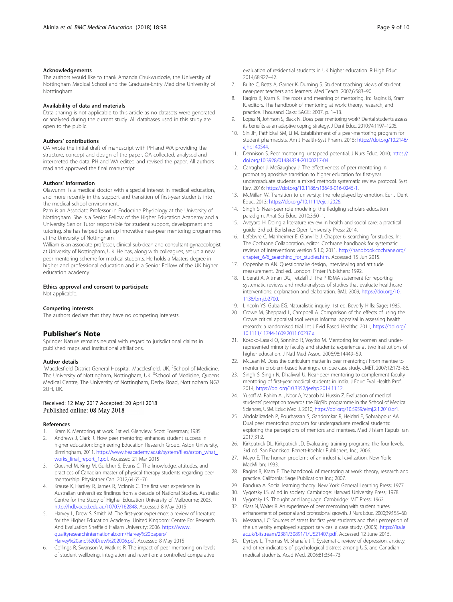#### <span id="page-8-0"></span>Acknowledgements

The authors would like to thank Amanda Chukwudozie, the University of Nottingham Medical School and the Graduate-Entry Medicine University of Notttingham.

#### Availability of data and materials

Data sharing is not applicable to this article as no datasets were generated or analysed during the current study. All databases used in this study are open to the public.

#### Authors' contributions

OA wrote the initial draft of manuscript with PH and WA providing the structure, concept and design of the paper. OA collected, analysed and interpreted the data. PH and WA edited and revised the paper. All authors read and approved the final manuscript.

#### Authors' information

Olawunmi is a medical doctor with a special interest in medical education, and more recently in the support and transition of first-year students into the medical school environment.

Pam is an Associate Professor in Endocrine Physiology at the University of Nottingham. She is a Senior Fellow of the Higher Education Academy and a University Senior Tutor responsible for student support, development and tutoring. She has helped to set up innovative near-peer mentoring programmes at the University of Nottingham.

William is an associate professor, clinical sub-dean and consultant gynaecologist at University of Nottingham, U.K. He has, along with colleagues, set up a new peer mentoring scheme for medical students. He holds a Masters degree in higher and professional education and is a Senior Fellow of the UK higher education academy.

#### Ethics approval and consent to participate

Not applicable.

#### Competing interests

The authors declare that they have no competing interests.

## Publisher's Note

Springer Nature remains neutral with regard to jurisdictional claims in published maps and institutional affiliations.

#### Author details

<sup>1</sup>Macclesfield District General Hospital, Macclesfield, UK. <sup>2</sup>School of Medicine, The University of Nottingham, Nottingham, UK. <sup>3</sup>School of Medicine, Queens Medical Centre, The University of Nottingham, Derby Road, Nottingham NG7 2UH, UK.

#### Received: 12 May 2017 Accepted: 20 April 2018 Published online: 08 May 2018

#### References

- Kram K. Mentoring at work. 1st ed. Glenview: Scott Foresman; 1985.
- 2. Andrews J, Clark R. How peer mentoring enhances student success in higher education: Engineering Education Research Group. Aston University, Birmingham, 2011. [https://www.heacademy.ac.uk/system/files/aston\\_what\\_](https://www.heacademy.ac.uk/system/files/aston_what_works_final_report_1.pdf) [works\\_final\\_report\\_1.pdf](https://www.heacademy.ac.uk/system/files/aston_what_works_final_report_1.pdf). Accessed 21 Mar 2015
- Quesnel M, King M, Guilcher S, Evans C. The knowledge, attitudes, and practices of Canadian master of physical therapy students regarding peer mentorship. Physiother Can. 2012;64:65–76.
- Krause K, Hartley R, James R, McInnis C. The first year experience in Australian universities: findings from a decade of National Studies. Australia: Centre for the Study of Higher Education University of Melbourne; 2005. <http://hdl.voced.edu.au/10707/162848>. Accessed 8 May 2015
- 5. Harvey L, Drew S, Smith M. The first-year experience: a review of literature for the Higher Education Academy. United Kingdom: Centre For Research And Evaluation Sheffield Hallam University; 2006. [https://www.](https://www.qualityresearchinternational.com/Harvey%20papers/Harvey%20and%20Drew%202006.pdf) [qualityresearchinternational.com/Harvey%20papers/](https://www.qualityresearchinternational.com/Harvey%20papers/Harvey%20and%20Drew%202006.pdf) [Harvey%20and%20Drew%202006.pdf.](https://www.qualityresearchinternational.com/Harvey%20papers/Harvey%20and%20Drew%202006.pdf) Accessed 8 May 2015
- 6. Collings R, Swanson V, Watkins R. The impact of peer mentoring on levels of student wellbeing, integration and retention: a controlled comparative

evaluation of residential students in UK higher education. R High Educ. 2014;68:927–42.

- 7. Bulte C, Betts A, Garner K, Durning S. Student teaching: views of student near-peer teachers and learners. Med Teach. 2007;6:583–90.
- 8. Ragins B, Kram K. The roots and meaning of mentoring. In: Ragins B, Kram K, editors. The handbook of mentoring at work: theory, research, and practice. Thousand Oaks: SAGE; 2007. p. 1–13.
- 9. Lopez N, Johnson S, Black N. Does peer mentoring work? Dental students assess its benefits as an adaptive coping strategy. J Dent Educ. 2010;74:1197–1205.
- 10. Sin JH, Pathickal SM, Li M. Establishment of a peer-mentoring program for student pharmacists. Am J Health-Syst Pharm. 2015; [https://doi.org/10.2146/](https://doi.org/10.2146/ajhp140544) [ajhp140544.](https://doi.org/10.2146/ajhp140544)
- 11. Dennison S. Peer mentoring: untapped potential. J Nurs Educ. 2010; [https://](https://doi.org/10.3928/01484834-20100217-04) [doi.org/10.3928/01484834-20100217-04.](https://doi.org/10.3928/01484834-20100217-04)
- 12. Carragher J, McGaughey J. The effectiveness of peer mentoring in promoting apositive transition to higher education for first-year undergraduate students: a mixed methods systematic review protocol. Syst Rev. 2016; [https://doi.org/10.1186/s13643-016-0245-1.](https://doi.org/10.1186/s13643-016-0245-1)
- 13. McMillan W. Transition to university: the role played by emotion. Eur J Dent Educ. 2013; [https://doi.org/10.1111/eje.12026.](https://doi.org/10.1111/eje.12026)
- 14. Singh S. Near-peer role modeling: the fledgling scholars education paradigm. Anat Sci Educ. 2010;3:50–1.
- 15. Aveyard H. Doing a literature review in health and social care: a practical guide. 3rd ed. Berkshire: Open University Press; 2014.
- 16. Lefebvre C, Manheimer E, Glanville J. Chapter 6: searching for studies. In: The Cochrane Collaboration, editor. Cochrane handbook for systematic reviews of interventions version 5.1.0; 2011. [http://handbook.cochrane.org/](http://handbook.cochrane.org/chapter_6/6_searching_for_studies.htm) [chapter\\_6/6\\_searching\\_for\\_studies.htm.](http://handbook.cochrane.org/chapter_6/6_searching_for_studies.htm) Accessed 15 Jun 2015.
- 17. Oppenheim AN. Questionnaire design, interviewing and attitude measurement. 2nd ed. London: Pinter Publishers; 1992.
- 18. Liberati A, Altman DG, Tetzlaff J. The PRISMA statement for reporting systematic reviews and meta-analyses of studies that evaluate healthcare interventions: explanation and elaboration. BMJ. 2009; [https://doi.org/10.](https://doi.org/10.1136/bmj.b2700) [1136/bmj.b2700.](https://doi.org/10.1136/bmj.b2700)
- 19. Lincoln YS, Guba EG. Naturalistic inquiry. 1st ed. Beverly Hills: Sage; 1985.
- 20. Crowe M, Sheppard L, Campbell A. Comparison of the effects of using the Crowe critical appraisal tool versus informal appraisal in assessing health research: a randomised trial. Int J Evid Based Healthc. 2011; [https://doi.org/](https://doi.org/10.1111/j.1744-1609.2011.00237.x) [10.1111/j.1744-1609.2011.00237.x](https://doi.org/10.1111/j.1744-1609.2011.00237.x).
- 21. Kosoko-Lasaki O, Sonnino R, Voytko M. Mentoring for women and underrepresented minority faculty and students: experience at two institutions of higher education. J Natl Med Assoc. 2006;98:14449–59.
- 22. McLean M. Does the curriculum matter in peer mentoring? From mentee to mentor in problem-based learning: a unique case study. cMET. 2007;12:173–86.
- 23. Singh S, Singh N, Dhaliwal U. Near-peer mentoring to complement faculty mentoring of first-year medical students in India. J Educ Eval Health Prof. 2014; [https://doi.org/10.3352/jeehp.2014.11.12.](https://doi.org/10.3352/jeehp.2014.11.12)
- 24. Yusoff M, Rahim AL, Noor A, Yaacob N, Hussin Z. Evaluation of medical students' perception towards the BigSib programme in the School of Medical Sciences, USM. Educ Med J. 2010; [https://doi.org/10.5959/eimj.2.1.2010.or1.](https://doi.org/10.5959/eimj.2.1.2010.or1)
- 25. Abdolalizadeh P, Pourhassan S, Gandomkar R, Heidari F, Sohrabpour AA. Dual peer mentoring program for undergraduate medical students: exploring the perceptions of mentors and mentees. Med J Islam Repub Iran. 2017;31:2.
- 26. Kirkpatrick DL, Kirkpatrick JD. Evaluating training programs: the four levels. 3rd ed. San Francisco: Berrett-Koehler Publishers, Inc.; 2006.
- 27. Mayo E. The human problems of an industrial civilization. New York: MacMillan; 1933.
- 28. Ragins B, Kram E. The handbook of mentoring at work: theory, research and practice. California: Sage Publications Inc.; 2007.
- 29. Bandura A. Social learning theory. New York: General Learning Press; 1977.
- 30. Vygotsky LS. Mind in society. Cambridge: Harvard University Press; 1978.
- 31. Vygotsky LS. Thought and language. Cambridge: MIT Press; 1962.
- 32. Glass N, Walter R. An experience of peer mentoring with student nurses: enhancement of personal and professional growth. J Nurs Educ. 2000;39:155–60.
- 33. Messarra, LC: Sources of stress for first year students and their perception of the university employed support services: a case study. (2005). [https://lra.le.](https://lra.le.ac.uk/bitstream/2381/30891/1/U521407.pdf) [ac.uk/bitstream/2381/30891/1/U521407.pdf.](https://lra.le.ac.uk/bitstream/2381/30891/1/U521407.pdf) Accessed 12 June 2015.
- 34. Dyrbye L, Thomas M, Shanafelt T. Systematic review of depression, anxiety, and other indicators of psychological distress among U.S. and Canadian medical students. Acad Med. 2006;81:354–73.